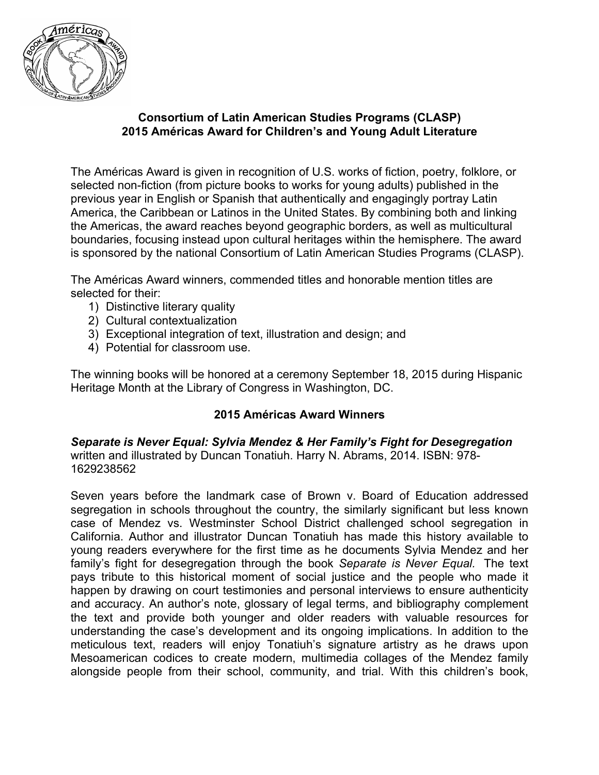

# **Consortium of Latin American Studies Programs (CLASP) 2015 Américas Award for Children's and Young Adult Literature**

The Américas Award is given in recognition of U.S. works of fiction, poetry, folklore, or selected non-fiction (from picture books to works for young adults) published in the previous year in English or Spanish that authentically and engagingly portray Latin America, the Caribbean or Latinos in the United States. By combining both and linking the Americas, the award reaches beyond geographic borders, as well as multicultural boundaries, focusing instead upon cultural heritages within the hemisphere. The award is sponsored by the national Consortium of Latin American Studies Programs (CLASP).

The Américas Award winners, commended titles and honorable mention titles are selected for their:

- 1) Distinctive literary quality
- 2) Cultural contextualization
- 3) Exceptional integration of text, illustration and design; and
- 4) Potential for classroom use.

The winning books will be honored at a ceremony September 18, 2015 during Hispanic Heritage Month at the Library of Congress in Washington, DC.

## **2015 Américas Award Winners**

*Separate is Never Equal: Sylvia Mendez & Her Family's Fight for Desegregation* written and illustrated by Duncan Tonatiuh. Harry N. Abrams, 2014. ISBN: 978- 1629238562

Seven years before the landmark case of Brown v. Board of Education addressed segregation in schools throughout the country, the similarly significant but less known case of Mendez vs. Westminster School District challenged school segregation in California. Author and illustrator Duncan Tonatiuh has made this history available to young readers everywhere for the first time as he documents Sylvia Mendez and her family's fight for desegregation through the book *Separate is Never Equal.* The text pays tribute to this historical moment of social justice and the people who made it happen by drawing on court testimonies and personal interviews to ensure authenticity and accuracy. An author's note, glossary of legal terms, and bibliography complement the text and provide both younger and older readers with valuable resources for understanding the case's development and its ongoing implications. In addition to the meticulous text, readers will enjoy Tonatiuh's signature artistry as he draws upon Mesoamerican codices to create modern, multimedia collages of the Mendez family alongside people from their school, community, and trial. With this children's book,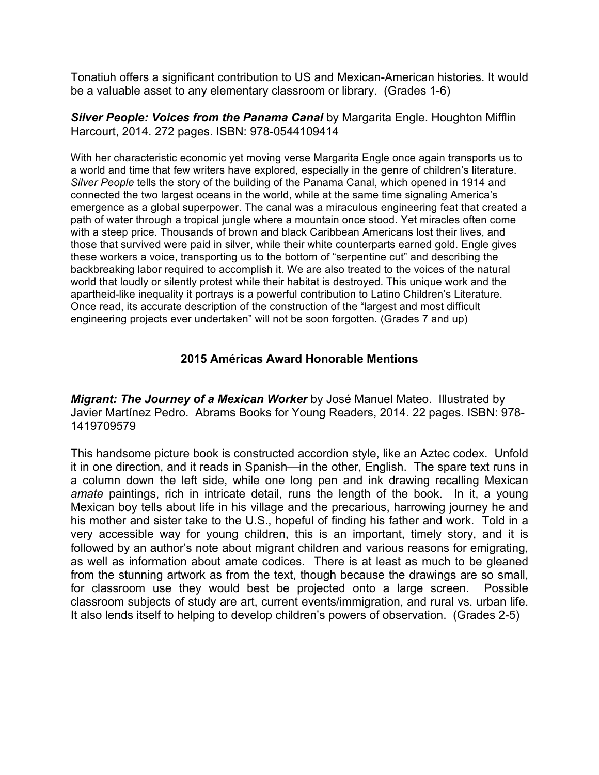Tonatiuh offers a significant contribution to US and Mexican-American histories. It would be a valuable asset to any elementary classroom or library. (Grades 1-6)

*Silver People: Voices from the Panama Canal* by Margarita Engle. Houghton Mifflin Harcourt, 2014. 272 pages. ISBN: 978-0544109414

With her characteristic economic yet moving verse Margarita Engle once again transports us to a world and time that few writers have explored, especially in the genre of children's literature. *Silver People* tells the story of the building of the Panama Canal, which opened in 1914 and connected the two largest oceans in the world, while at the same time signaling America's emergence as a global superpower. The canal was a miraculous engineering feat that created a path of water through a tropical jungle where a mountain once stood. Yet miracles often come with a steep price. Thousands of brown and black Caribbean Americans lost their lives, and those that survived were paid in silver, while their white counterparts earned gold. Engle gives these workers a voice, transporting us to the bottom of "serpentine cut" and describing the backbreaking labor required to accomplish it. We are also treated to the voices of the natural world that loudly or silently protest while their habitat is destroyed. This unique work and the apartheid-like inequality it portrays is a powerful contribution to Latino Children's Literature. Once read, its accurate description of the construction of the "largest and most difficult engineering projects ever undertaken" will not be soon forgotten. (Grades 7 and up)

## **2015 Américas Award Honorable Mentions**

*Migrant: The Journey of a Mexican Worker* by José Manuel Mateo. Illustrated by Javier Martínez Pedro. Abrams Books for Young Readers, 2014. 22 pages. ISBN: 978- 1419709579

This handsome picture book is constructed accordion style, like an Aztec codex. Unfold it in one direction, and it reads in Spanish—in the other, English. The spare text runs in a column down the left side, while one long pen and ink drawing recalling Mexican *amate* paintings, rich in intricate detail, runs the length of the book. In it, a young Mexican boy tells about life in his village and the precarious, harrowing journey he and his mother and sister take to the U.S., hopeful of finding his father and work. Told in a very accessible way for young children, this is an important, timely story, and it is followed by an author's note about migrant children and various reasons for emigrating, as well as information about amate codices. There is at least as much to be gleaned from the stunning artwork as from the text, though because the drawings are so small, for classroom use they would best be projected onto a large screen. Possible classroom subjects of study are art, current events/immigration, and rural vs. urban life. It also lends itself to helping to develop children's powers of observation. (Grades 2-5)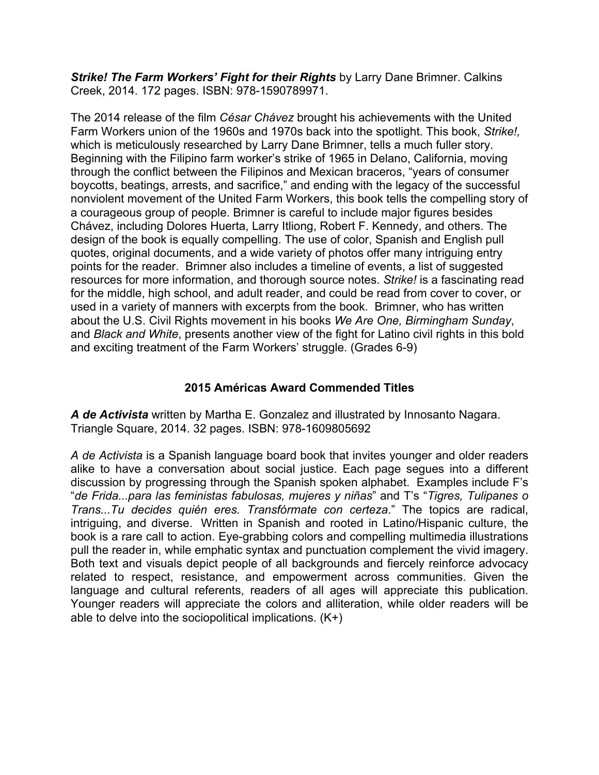*Strike! The Farm Workers' Fight for their Rights* by Larry Dane Brimner. Calkins Creek, 2014. 172 pages. ISBN: 978-1590789971.

The 2014 release of the film *César Chávez* brought his achievements with the United Farm Workers union of the 1960s and 1970s back into the spotlight. This book, *Strike!,* which is meticulously researched by Larry Dane Brimner, tells a much fuller story. Beginning with the Filipino farm worker's strike of 1965 in Delano, California, moving through the conflict between the Filipinos and Mexican braceros, "years of consumer boycotts, beatings, arrests, and sacrifice," and ending with the legacy of the successful nonviolent movement of the United Farm Workers, this book tells the compelling story of a courageous group of people. Brimner is careful to include major figures besides Chávez, including Dolores Huerta, Larry Itliong, Robert F. Kennedy, and others. The design of the book is equally compelling. The use of color, Spanish and English pull quotes, original documents, and a wide variety of photos offer many intriguing entry points for the reader. Brimner also includes a timeline of events, a list of suggested resources for more information, and thorough source notes. *Strike!* is a fascinating read for the middle, high school, and adult reader, and could be read from cover to cover, or used in a variety of manners with excerpts from the book. Brimner, who has written about the U.S. Civil Rights movement in his books *We Are One, Birmingham Sunday*, and *Black and White*, presents another view of the fight for Latino civil rights in this bold and exciting treatment of the Farm Workers' struggle. (Grades 6-9)

# **2015 Américas Award Commended Titles**

*A de Activista* written by Martha E. Gonzalez and illustrated by Innosanto Nagara. Triangle Square, 2014. 32 pages. ISBN: 978-1609805692

*A de Activista* is a Spanish language board book that invites younger and older readers alike to have a conversation about social justice. Each page segues into a different discussion by progressing through the Spanish spoken alphabet. Examples include F's "*de Frida...para las feministas fabulosas, mujeres y niñas*" and T's "*Tigres, Tulipanes o Trans...Tu decides quién eres. Transfórmate con certeza*." The topics are radical, intriguing, and diverse. Written in Spanish and rooted in Latino/Hispanic culture, the book is a rare call to action. Eye-grabbing colors and compelling multimedia illustrations pull the reader in, while emphatic syntax and punctuation complement the vivid imagery. Both text and visuals depict people of all backgrounds and fiercely reinforce advocacy related to respect, resistance, and empowerment across communities. Given the language and cultural referents, readers of all ages will appreciate this publication. Younger readers will appreciate the colors and alliteration, while older readers will be able to delve into the sociopolitical implications. (K+)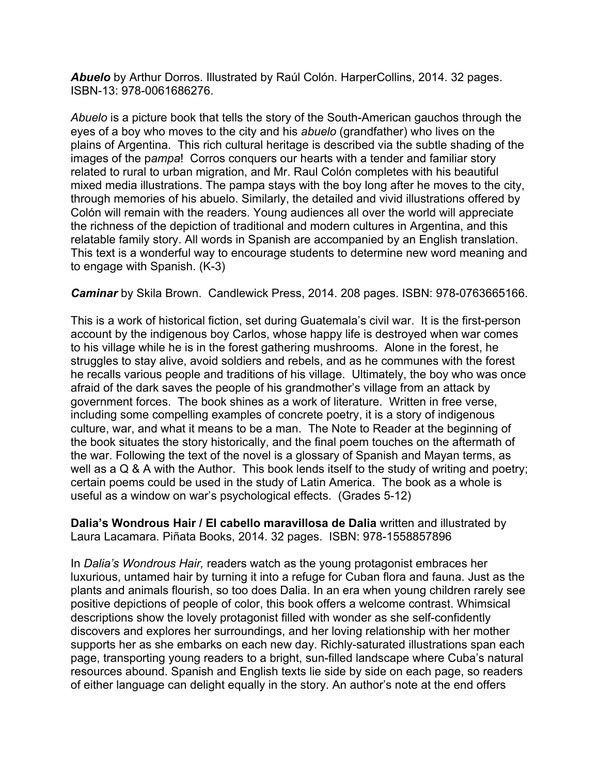*Abuelo* by Arthur Dorros. Illustrated by Raúl Colón. HarperCollins, 2014. 32 pages. ISBN-13: 978-0061686276.

*Abuelo* is a picture book that tells the story of the South-American gauchos through the eyes of a boy who moves to the city and his *abuelo* (grandfather) who lives on the plains of Argentina. This rich cultural heritage is described via the subtle shading of the images of the p*ampa*! Corros conquers our hearts with a tender and familiar story related to rural to urban migration, and Mr. Raul Colón completes with his beautiful mixed media illustrations. The pampa stays with the boy long after he moves to the city, through memories of his abuelo. Similarly, the detailed and vivid illustrations offered by Colón will remain with the readers. Young audiences all over the world will appreciate the richness of the depiction of traditional and modern cultures in Argentina, and this relatable family story. All words in Spanish are accompanied by an English translation. This text is a wonderful way to encourage students to determine new word meaning and to engage with Spanish. (K-3)

*Caminar* by Skila Brown. Candlewick Press, 2014. 208 pages. ISBN: 978-0763665166.

This is a work of historical fiction, set during Guatemala's civil war. It is the first-person account by the indigenous boy Carlos, whose happy life is destroyed when war comes to his village while he is in the forest gathering mushrooms. Alone in the forest, he struggles to stay alive, avoid soldiers and rebels, and as he communes with the forest he recalls various people and traditions of his village. Ultimately, the boy who was once afraid of the dark saves the people of his grandmother's village from an attack by government forces. The book shines as a work of literature. Written in free verse, including some compelling examples of concrete poetry, it is a story of indigenous culture, war, and what it means to be a man. The Note to Reader at the beginning of the book situates the story historically, and the final poem touches on the aftermath of the war. Following the text of the novel is a glossary of Spanish and Mayan terms, as well as a Q & A with the Author. This book lends itself to the study of writing and poetry; certain poems could be used in the study of Latin America. The book as a whole is useful as a window on war's psychological effects. (Grades 5-12)

**Dalia's Wondrous Hair / El cabello maravillosa de Dalia** written and illustrated by Laura Lacamara. Piñata Books, 2014. 32 pages. ISBN: 978-1558857896

In *Dalia's Wondrous Hair,* readers watch as the young protagonist embraces her luxurious, untamed hair by turning it into a refuge for Cuban flora and fauna. Just as the plants and animals flourish, so too does Dalia. In an era when young children rarely see positive depictions of people of color, this book offers a welcome contrast. Whimsical descriptions show the lovely protagonist filled with wonder as she self-confidently discovers and explores her surroundings, and her loving relationship with her mother supports her as she embarks on each new day. Richly-saturated illustrations span each page, transporting young readers to a bright, sun-filled landscape where Cuba's natural resources abound. Spanish and English texts lie side by side on each page, so readers of either language can delight equally in the story. An author's note at the end offers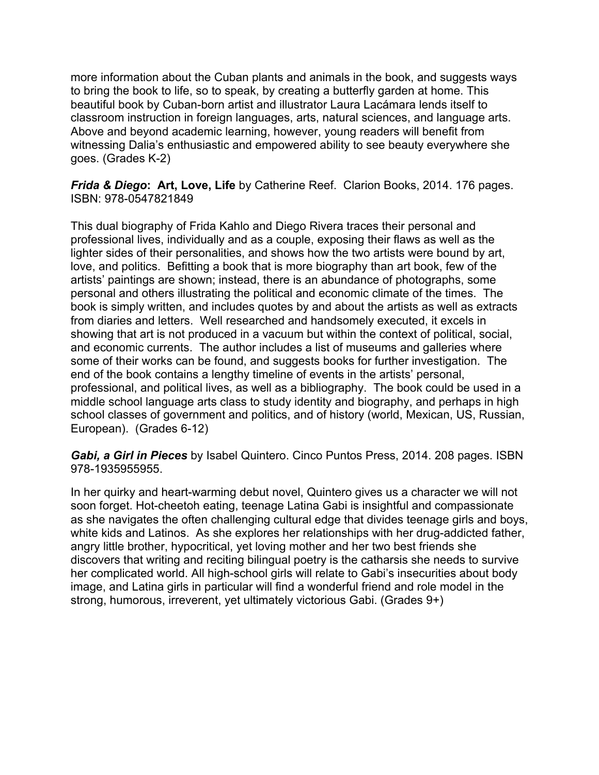more information about the Cuban plants and animals in the book, and suggests ways to bring the book to life, so to speak, by creating a butterfly garden at home. This beautiful book by Cuban-born artist and illustrator Laura Lacámara lends itself to classroom instruction in foreign languages, arts, natural sciences, and language arts. Above and beyond academic learning, however, young readers will benefit from witnessing Dalia's enthusiastic and empowered ability to see beauty everywhere she goes. (Grades K-2)

## *Frida & Diego***: Art, Love, Life** by Catherine Reef. Clarion Books, 2014. 176 pages. ISBN: 978-0547821849

This dual biography of Frida Kahlo and Diego Rivera traces their personal and professional lives, individually and as a couple, exposing their flaws as well as the lighter sides of their personalities, and shows how the two artists were bound by art, love, and politics. Befitting a book that is more biography than art book, few of the artists' paintings are shown; instead, there is an abundance of photographs, some personal and others illustrating the political and economic climate of the times. The book is simply written, and includes quotes by and about the artists as well as extracts from diaries and letters. Well researched and handsomely executed, it excels in showing that art is not produced in a vacuum but within the context of political, social, and economic currents. The author includes a list of museums and galleries where some of their works can be found, and suggests books for further investigation. The end of the book contains a lengthy timeline of events in the artists' personal, professional, and political lives, as well as a bibliography. The book could be used in a middle school language arts class to study identity and biography, and perhaps in high school classes of government and politics, and of history (world, Mexican, US, Russian, European). (Grades 6-12)

*Gabi, a Girl in Pieces* by Isabel Quintero. Cinco Puntos Press, 2014. 208 pages. ISBN 978-1935955955.

In her quirky and heart-warming debut novel, Quintero gives us a character we will not soon forget. Hot-cheetoh eating, teenage Latina Gabi is insightful and compassionate as she navigates the often challenging cultural edge that divides teenage girls and boys, white kids and Latinos. As she explores her relationships with her drug-addicted father, angry little brother, hypocritical, yet loving mother and her two best friends she discovers that writing and reciting bilingual poetry is the catharsis she needs to survive her complicated world. All high-school girls will relate to Gabi's insecurities about body image, and Latina girls in particular will find a wonderful friend and role model in the strong, humorous, irreverent, yet ultimately victorious Gabi. (Grades 9+)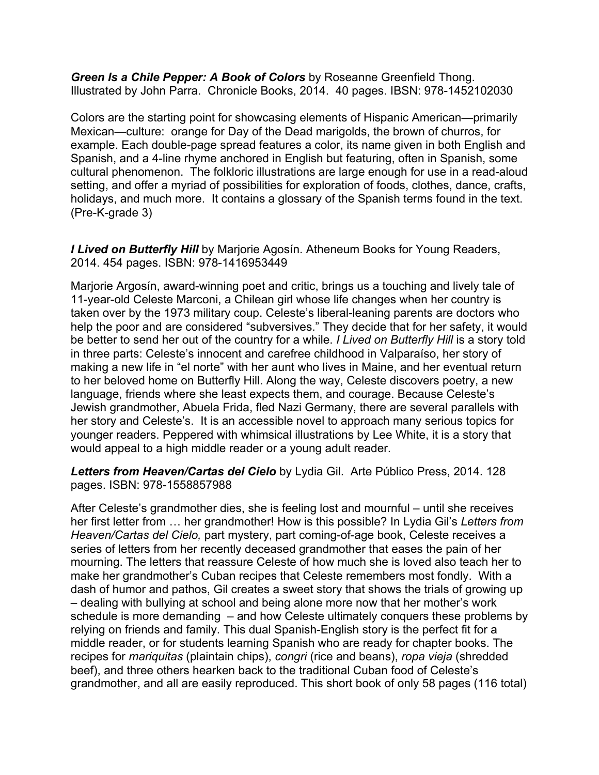*Green Is a Chile Pepper: A Book of Colors* by Roseanne Greenfield Thong. Illustrated by John Parra. Chronicle Books, 2014. 40 pages. IBSN: 978-1452102030

Colors are the starting point for showcasing elements of Hispanic American—primarily Mexican—culture: orange for Day of the Dead marigolds, the brown of churros, for example. Each double-page spread features a color, its name given in both English and Spanish, and a 4-line rhyme anchored in English but featuring, often in Spanish, some cultural phenomenon. The folkloric illustrations are large enough for use in a read-aloud setting, and offer a myriad of possibilities for exploration of foods, clothes, dance, crafts, holidays, and much more. It contains a glossary of the Spanish terms found in the text. (Pre-K-grade 3)

*I Lived on Butterfly Hill* by Marjorie Agosín. Atheneum Books for Young Readers, 2014. 454 pages. ISBN: 978-1416953449

Marjorie Argosín, award-winning poet and critic, brings us a touching and lively tale of 11-year-old Celeste Marconi, a Chilean girl whose life changes when her country is taken over by the 1973 military coup. Celeste's liberal-leaning parents are doctors who help the poor and are considered "subversives." They decide that for her safety, it would be better to send her out of the country for a while. *I Lived on Butterfly Hill* is a story told in three parts: Celeste's innocent and carefree childhood in Valparaíso, her story of making a new life in "el norte" with her aunt who lives in Maine, and her eventual return to her beloved home on Butterfly Hill. Along the way, Celeste discovers poetry, a new language, friends where she least expects them, and courage. Because Celeste's Jewish grandmother, Abuela Frida, fled Nazi Germany, there are several parallels with her story and Celeste's. It is an accessible novel to approach many serious topics for younger readers. Peppered with whimsical illustrations by Lee White, it is a story that would appeal to a high middle reader or a young adult reader.

*Letters from Heaven/Cartas del Cielo* by Lydia Gil. Arte Público Press, 2014. 128 pages. ISBN: 978-1558857988

After Celeste's grandmother dies, she is feeling lost and mournful – until she receives her first letter from … her grandmother! How is this possible? In Lydia Gil's *Letters from Heaven/Cartas del Cielo,* part mystery, part coming-of-age book, Celeste receives a series of letters from her recently deceased grandmother that eases the pain of her mourning. The letters that reassure Celeste of how much she is loved also teach her to make her grandmother's Cuban recipes that Celeste remembers most fondly. With a dash of humor and pathos, Gil creates a sweet story that shows the trials of growing up – dealing with bullying at school and being alone more now that her mother's work schedule is more demanding – and how Celeste ultimately conquers these problems by relying on friends and family. This dual Spanish-English story is the perfect fit for a middle reader, or for students learning Spanish who are ready for chapter books. The recipes for *mariquitas* (plaintain chips), *congri* (rice and beans), *ropa vieja* (shredded beef), and three others hearken back to the traditional Cuban food of Celeste's grandmother, and all are easily reproduced. This short book of only 58 pages (116 total)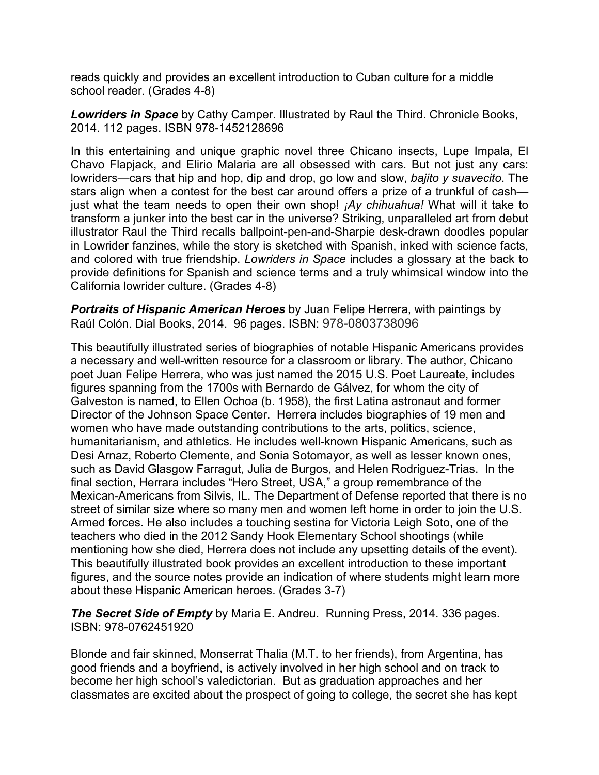reads quickly and provides an excellent introduction to Cuban culture for a middle school reader. (Grades 4-8)

*Lowriders in Space* by Cathy Camper. Illustrated by Raul the Third. Chronicle Books, 2014. 112 pages. ISBN 978-1452128696

In this entertaining and unique graphic novel three Chicano insects, Lupe Impala, El Chavo Flapjack, and Elirio Malaria are all obsessed with cars. But not just any cars: lowriders—cars that hip and hop, dip and drop, go low and slow, *bajito y suavecito*. The stars align when a contest for the best car around offers a prize of a trunkful of cash just what the team needs to open their own shop! *¡Ay chihuahua!* What will it take to transform a junker into the best car in the universe? Striking, unparalleled art from debut illustrator Raul the Third recalls ballpoint-pen-and-Sharpie desk-drawn doodles popular in Lowrider fanzines, while the story is sketched with Spanish, inked with science facts, and colored with true friendship. *Lowriders in Space* includes a glossary at the back to provide definitions for Spanish and science terms and a truly whimsical window into the California lowrider culture. (Grades 4-8)

*Portraits of Hispanic American Heroes* by Juan Felipe Herrera, with paintings by Raúl Colón. Dial Books, 2014. 96 pages. ISBN: 978-0803738096

This beautifully illustrated series of biographies of notable Hispanic Americans provides a necessary and well-written resource for a classroom or library. The author, Chicano poet Juan Felipe Herrera, who was just named the 2015 U.S. Poet Laureate, includes figures spanning from the 1700s with Bernardo de Gálvez, for whom the city of Galveston is named, to Ellen Ochoa (b. 1958), the first Latina astronaut and former Director of the Johnson Space Center. Herrera includes biographies of 19 men and women who have made outstanding contributions to the arts, politics, science, humanitarianism, and athletics. He includes well-known Hispanic Americans, such as Desi Arnaz, Roberto Clemente, and Sonia Sotomayor, as well as lesser known ones, such as David Glasgow Farragut, Julia de Burgos, and Helen Rodriguez-Trias. In the final section, Herrara includes "Hero Street, USA," a group remembrance of the Mexican-Americans from Silvis, IL. The Department of Defense reported that there is no street of similar size where so many men and women left home in order to join the U.S. Armed forces. He also includes a touching sestina for Victoria Leigh Soto, one of the teachers who died in the 2012 Sandy Hook Elementary School shootings (while mentioning how she died, Herrera does not include any upsetting details of the event). This beautifully illustrated book provides an excellent introduction to these important figures, and the source notes provide an indication of where students might learn more about these Hispanic American heroes. (Grades 3-7)

*The Secret Side of Empty* by Maria E. Andreu. Running Press, 2014. 336 pages. ISBN: 978-0762451920

Blonde and fair skinned, Monserrat Thalia (M.T. to her friends), from Argentina, has good friends and a boyfriend, is actively involved in her high school and on track to become her high school's valedictorian. But as graduation approaches and her classmates are excited about the prospect of going to college, the secret she has kept